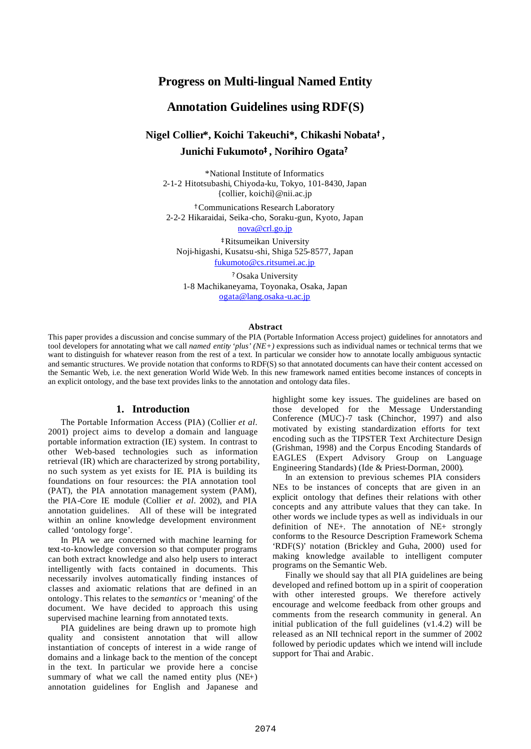# **Progress on Multi-lingual Named Entity**

# **Annotation Guidelines using RDF(S)**

# **Nigel Collier\*, Koichi Takeuchi\*, Chikashi Nobata†, Junichi Fukumoto‡, Norihiro Ogata?**

\*National Institute of Informatics 2-1-2 Hitotsubashi, Chiyoda-ku, Tokyo, 101-8430, Japan {collier, koichi}@nii.ac.jp

†Communications Research Laboratory 2-2-2 Hikaraidai, Seika-cho, Soraku-gun, Kyoto, Japan

nova@crl.go.jp

‡Ritsumeikan University Noji-higashi, Kusatsu-shi, Shiga 525-8577, Japan fukumoto@cs.ritsumei.ac.jp

? Osaka University 1-8 Machikaneyama, Toyonaka, Osaka, Japan ogata@lang.osaka-u.ac.jp

#### **Abstract**

This paper provides a discussion and concise summary of the PIA (Portable Information Access project) guidelines for annotators and tool developers for annotating what we call *named entity 'plus' (NE+)* expressions such as individual names or technical terms that we want to distinguish for whatever reason from the rest of a text. In particular we consider how to annotate locally ambiguous syntactic and semantic structures. We provide notation that conforms to RDF(S) so that annotated documents can have their content accessed on the Semantic Web, i.e. the next generation World Wide Web. In this new framework named entities become instances of concepts in an explicit ontology, and the base text provides links to the annotation and ontology data files.

### **1. Introduction**

The Portable Information Access (PIA) (Collier *et al.* 2001) project aims to develop a domain and language portable information extraction (IE) system. In contrast to other Web-based technologies such as information retrieval (IR) which are characterized by strong portability, no such system as yet exists for IE. PIA is building its foundations on four resources: the PIA annotation tool (PAT), the PIA annotation management system (PAM), the PIA-Core IE module (Collier *et al.* 2002), and PIA annotation guidelines. All of these will be integrated within an online knowledge development environment called 'ontology forge'.

In PIA we are concerned with machine learning for text-to-knowledge conversion so that computer programs can both extract knowledge and also help users to interact intelligently with facts contained in documents. This necessarily involves automatically finding instances of classes and axiomatic relations that are defined in an ontology. This relates to the *semantics* or 'meaning' of the document. We have decided to approach this using supervised machine learning from annotated texts.

PIA guidelines are being drawn up to promote high quality and consistent annotation that will allow instantiation of concepts of interest in a wide range of domains and a linkage back to the mention of the concept in the text. In particular we provide here a concise summary of what we call the named entity plus (NE+) annotation guidelines for English and Japanese and highlight some key issues. The guidelines are based on those developed for the Message Understanding Conference (MUC)-7 task (Chinchor, 1997) and also motivated by existing standardization efforts for text encoding such as the TIPSTER Text Architecture Design (Grishman, 1998) and the Corpus Encoding Standards of EAGLES (Expert Advisory Group on Language Engineering Standards) (Ide & Priest-Dorman, 2000).

In an extension to previous schemes PIA considers NEs to be instances of concepts that are given in an explicit ontology that defines their relations with other concepts and any attribute values that they can take. In other words we include types as well as individuals in our definition of NE+. The annotation of NE+ strongly conforms to the Resource Description Framework Schema 'RDF(S)' notation (Brickley and Guha, 2000) used for making knowledge available to intelligent computer programs on the Semantic Web.

Finally we should say that all PIA guidelines are being developed and refined bottom up in a spirit of cooperation with other interested groups. We therefore actively encourage and welcome feedback from other groups and comments from the research community in general. An initial publication of the full guidelines (v1.4.2) will be released as an NII technical report in the summer of 2002 followed by periodic updates which we intend will include support for Thai and Arabic.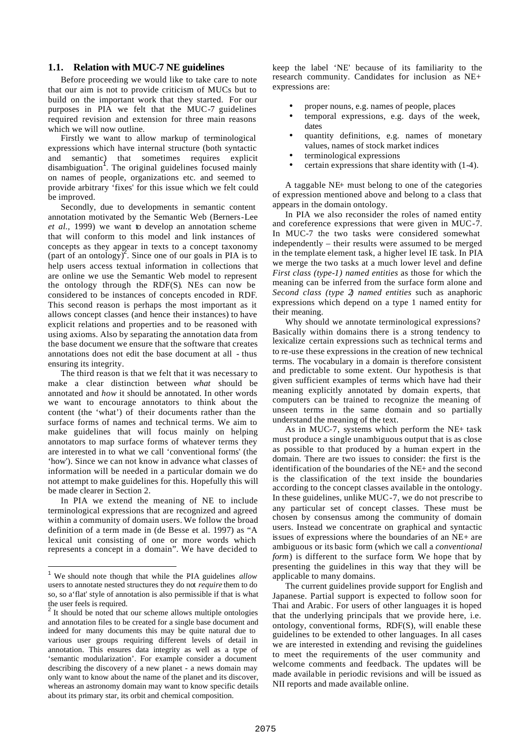#### **1.1. Relation with MUC-7 NE guidelines**

Before proceeding we would like to take care to note that our aim is not to provide criticism of MUCs but to build on the important work that they started. For our purposes in PIA we felt that the MUC-7 guidelines required revision and extension for three main reasons which we will now outline.

Firstly we want to allow markup of terminological expressions which have internal structure (both syntactic and semantic) that sometimes requires explicit  $\frac{1}{2}$  disambiguation<sup>1</sup>. The original guidelines focused mainly on names of people, organizations etc. and seemed to provide arbitrary 'fixes' for this issue which we felt could be improved.

Secondly, due to developments in semantic content annotation motivated by the Semantic Web (Berners-Lee *et al.,* 1999) we want to develop an annotation scheme that will conform to this model and link instances of concepts as they appear in texts to a concept taxonomy  $(\text{part of an ontology})^2$ . Since one of our goals in PIA is to help users access textual information in collections that are online we use the Semantic Web model to represent the ontology through the RDF(S). NEs can now be considered to be instances of concepts encoded in RDF. This second reason is perhaps the most important as it allows concept classes (and hence their instances) to have explicit relations and properties and to be reasoned with using axioms. Also by separating the annotation data from the base document we ensure that the software that creates annotations does not edit the base document at all - thus ensuring its integrity.

The third reason is that we felt that it was necessary to make a clear distinction between *what* should be annotated and *how* it should be annotated. In other words we want to encourage annotators to think about the content (the 'what') of their documents rather than the surface forms of names and technical terms. We aim to make guidelines that will focus mainly on helping annotators to map surface forms of whatever terms they are interested in to what we call 'conventional forms' (the 'how'). Since we can not know in advance what classes of information will be needed in a particular domain we do not attempt to make guidelines for this. Hopefully this will be made clearer in Section 2.

In PIA we extend the meaning of NE to include terminological expressions that are recognized and agreed within a community of domain users. We follow the broad definition of a term made in (de Besse et al. 1997) as "A lexical unit consisting of one or more words which represents a concept in a domain". We have decided to

 $\overline{\phantom{a}}$ 

keep the label 'NE' because of its familiarity to the research community. Candidates for inclusion as NE+ expressions are:

- proper nouns, e.g. names of people, places
- temporal expressions, e.g. days of the week, dates
- quantity definitions, e.g. names of monetary values, names of stock market indices
- terminological expressions
- certain expressions that share identity with (1-4).

A taggable NE+ must belong to one of the categories of expression mentioned above and belong to a class that appears in the domain ontology.

In PIA we also reconsider the roles of named entity and coreference expressions that were given in MUC-7. In MUC-7 the two tasks were considered somewhat independently – their results were assumed to be merged in the template element task, a higher level IE task. In PIA we merge the two tasks at a much lower level and define *First class (type-1) named entities* as those for which the meaning can be inferred from the surface form alone and *Second class (type 2) named entities* such as anaphoric expressions which depend on a type 1 named entity for their meaning.

Why should we annotate terminological expressions? Basically within domains there is a strong tendency to lexicalize certain expressions such as technical terms and to re-use these expressions in the creation of new technical terms. The vocabulary in a domain is therefore consistent and predictable to some extent. Our hypothesis is that given sufficient examples of terms which have had their meaning explicitly annotated by domain experts, that computers can be trained to recognize the meaning of unseen terms in the same domain and so partially understand the meaning of the text.

As in MUC-7, systems which perform the NE+ task must produce a single unambiguous output that is as close as possible to that produced by a human expert in the domain. There are two issues to consider: the first is the identification of the boundaries of the NE+ and the second is the classification of the text inside the boundaries according to the concept classes available in the ontology. In these guidelines, unlike MUC-7, we do not prescribe to any particular set of concept classes. These must be chosen by consensus among the community of domain users. Instead we concentrate on graphical and syntactic issues of expressions where the boundaries of an NE+ are ambiguous or its basic form (which we call a *conventional form*) is different to the surface form. We hope that by presenting the guidelines in this way that they will be applicable to many domains.

The current guidelines provide support for English and Japanese. Partial support is expected to follow soon for Thai and Arabic. For users of other languages it is hoped that the underlying principals that we provide here, i.e. ontology, conventional forms, RDF(S), will enable these guidelines to be extended to other languages. In all cases we are interested in extending and revising the guidelines to meet the requirements of the user community and welcome comments and feedback. The updates will be made available in periodic revisions and will be issued as NII reports and made available online.

<sup>1</sup> We should note though that while the PIA guidelines *allow* users to annotate nested structures they do not *require* them to do so, so a'flat' style of annotation is also permissible if that is what the user feels is required.

<sup>&</sup>lt;sup>2</sup> It should be noted that our scheme allows multiple ontologies and annotation files to be created for a single base document and indeed for many documents this may be quite natural due to various user groups requiring different levels of detail in annotation. This ensures data integrity as well as a type of 'semantic modularization'. For example consider a document describing the discovery of a new planet - a news domain may only want to know about the name of the planet and its discover, whereas an astronomy domain may want to know specific details about its primary star, its orbit and chemical composition.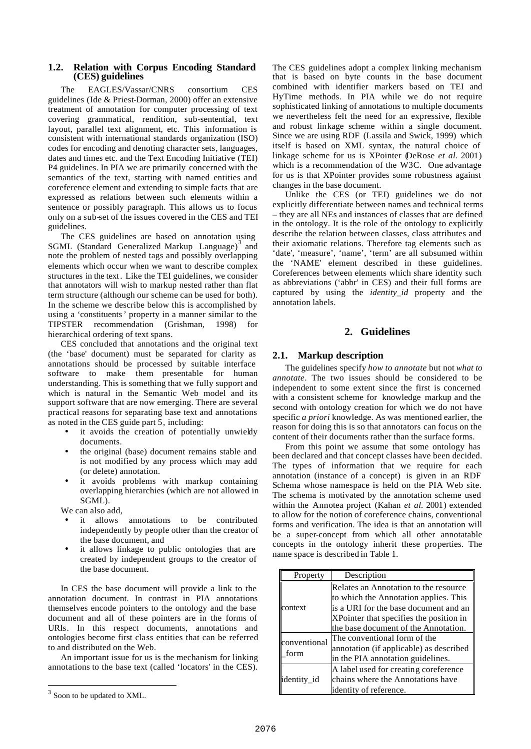## **1.2. Relation with Corpus Encoding Standard (CES) guidelines**

The EAGLES/Vassar/CNRS consortium CES guidelines (Ide & Priest-Dorman, 2000) offer an extensive treatment of annotation for computer processing of text covering grammatical, rendition, sub-sentential, text layout, parallel text alignment, etc. This information is consistent with international standards organization (ISO) codes for encoding and denoting character sets, languages, dates and times etc. and the Text Encoding Initiative (TEI) P4 guidelines. In PIA we are primarily concerned with the semantics of the text, starting with named entities and coreference element and extending to simple facts that are expressed as relations between such elements within a sentence or possibly paragraph. This allows us to focus only on a sub-set of the issues covered in the CES and TEI guidelines.

The CES guidelines are based on annotation using SGML (Standard Generalized Markup Language)<sup>3</sup> and note the problem of nested tags and possibly overlapping elements which occur when we want to describe complex structures in the text . Like the TEI guidelines, we consider that annotators will wish to markup nested rather than flat term structure (although our scheme can be used for both). In the scheme we describe below this is accomplished by using a 'constituents' property in a manner similar to the TIPSTER recommendation (Grishman, 1998) for hierarchical ordering of text spans.

CES concluded that annotations and the original text (the 'base' document) must be separated for clarity as annotations should be processed by suitable interface software to make them presentable for human understanding. This is something that we fully support and which is natural in the Semantic Web model and its support software that are now emerging. There are several practical reasons for separating base text and annotations as noted in the CES guide part 5, including:

- it avoids the creation of potentially unwieldy documents.
- the original (base) document remains stable and is not modified by any process which may add (or delete) annotation.
- it avoids problems with markup containing overlapping hierarchies (which are not allowed in SGML).

We can also add,

- it allows annotations to be contributed independently by people other than the creator of the base document, and
- it allows linkage to public ontologies that are created by independent groups to the creator of the base document.

In CES the base document will provide a link to the annotation document. In contrast in PIA annotations themselves encode pointers to the ontology and the base document and all of these pointers are in the forms of URIs. In this respect documents, annotations and ontologies become first class entities that can be referred to and distributed on the Web.

An important issue for us is the mechanism for linking annotations to the base text (called 'locators' in the CES).

 $\overline{\phantom{a}}$ 

The CES guidelines adopt a complex linking mechanism that is based on byte counts in the base document combined with identifier markers based on TEI and HyTime methods. In PIA while we do not require sophisticated linking of annotations to multiple documents we nevertheless felt the need for an expressive, flexible and robust linkage scheme within a single document. Since we are using RDF (Lassila and Swick, 1999) which itself is based on XML syntax, the natural choice of linkage scheme for us is XPointer (DeRose *et al.* 2001) which is a recommendation of the W3C. One advantage for us is that XPointer provides some robustness against changes in the base document.

Unlike the CES (or TEI) guidelines we do not explicitly differentiate between names and technical terms – they are all NEs and instances of classes that are defined in the ontology. It is the role of the ontology to explicitly describe the relation between classes, class attributes and their axiomatic relations. Therefore tag elements such as 'date', 'measure', 'name', 'term' are all subsumed within the 'NAME' element described in these guidelines. Coreferences between elements which share identity such as abbreviations ('abbr' in CES) and their full forms are captured by using the *identity\_id* property and the annotation labels.

# **2. Guidelines**

## **2.1. Markup description**

The guidelines specify *how to annotate* but not *what to annotate*. The two issues should be considered to be independent to some extent since the first is concerned with a consistent scheme for knowledge markup and the second with ontology creation for which we do not have specific *a priori* knowledge. As was mentioned earlier, the reason for doing this is so that annotators can focus on the content of their documents rather than the surface forms.

From this point we assume that some ontology has been declared and that concept classes have been decided. The types of information that we require for each annotation (instance of a concept) is given in an RDF Schema whose namespace is held on the PIA Web site. The schema is motivated by the annotation scheme used within the Annotea project (Kahan *et al.* 2001) extended to allow for the notion of coreference chains, conventional forms and verification. The idea is that an annotation will be a super-concept from which all other annotatable concepts in the ontology inherit these properties. The name space is described in Table 1.

| Property             | Description                                                                                                                                                                                                |
|----------------------|------------------------------------------------------------------------------------------------------------------------------------------------------------------------------------------------------------|
| context              | Relates an Annotation to the resource<br>to which the Annotation applies. This<br>is a URI for the base document and an<br>XPointer that specifies the position in<br>the base document of the Annotation. |
| conventional<br>form | The conventional form of the<br>annotation (if applicable) as described<br>in the PIA annotation guidelines.                                                                                               |
| identity id          | A label used for creating coreference<br>chains where the Annotations have<br>identity of reference.                                                                                                       |

 $3$  Soon to be updated to XML.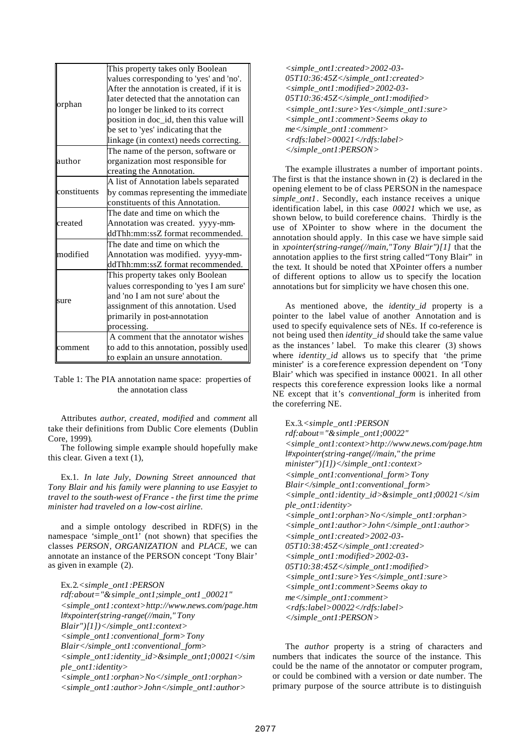| orphan       | This property takes only Boolean          |
|--------------|-------------------------------------------|
|              | values corresponding to 'yes' and 'no'.   |
|              | After the annotation is created, if it is |
|              | later detected that the annotation can    |
|              | no longer be linked to its correct        |
|              | position in doc_id, then this value will  |
|              | be set to 'yes' indicating that the       |
|              | linkage (in context) needs correcting.    |
| author       | The name of the person, software or       |
|              | organization most responsible for         |
|              | creating the Annotation.                  |
| constituents | A list of Annotation labels separated     |
|              | by commas representing the immediate      |
|              | constituents of this Annotation.          |
| created      | The date and time on which the            |
|              | Annotation was created. yyyy-mm-          |
|              | ddThh:mm:ssZ format recommended.          |
| modified     | The date and time on which the            |
|              | Annotation was modified. yyyy-mm-         |
|              | ddThh:mm:ssZ format recommended.          |
| sure         | This property takes only Boolean          |
|              | values corresponding to 'yes I am sure'   |
|              | and 'no I am not sure' about the          |
|              | assignment of this annotation. Used       |
|              | primarily in post-annotation              |
|              | processing.                               |
| comment      | A comment that the annotator wishes       |
|              | to add to this annotation, possibly used  |
|              | to explain an unsure annotation.          |

Table 1: The PIA annotation name space: properties of the annotation class

Attributes *author*, *created*, *modified* and *comment* all take their definitions from Dublic Core elements (Dublin Core, 1999).

The following simple example should hopefully make this clear. Given a text (1),

Ex.1. *In late July, Downing Street announced that Tony Blair and his family were planning to use Easyjet to travel to the south-west of France - the first time the prime minister had traveled on a low-cost airline.*

and a simple ontology described in RDF(S) in the namespace 'simple\_ont1' (not shown) that specifies the classes *PERSON*, *ORGANIZATION* and *PLACE*, we can annotate an instance of the PERSON concept 'Tony Blair' as given in example (2).

Ex.2*.<simple\_ont1:PERSON rdf:about="&simple\_ont1;simple\_ont1\_00021" <simple\_ont1:context>http://www.news.com/page.htm l#xpointer(string-range(//main," Tony Blair")[1])</simple\_ont1:context> <simple\_ont1:conventional\_form>Tony Blair</simple\_ont1:conventional\_form> <simple\_ont1:identity\_id>&simple\_ont1;00021</sim ple\_ont1:identity> <simple\_ont1:orphan>No</simple\_ont1:orphan> <simple\_ont1:author>John</simple\_ont1:author>*

*<simple\_ont1:created>2002-03- 05T10:36:45Z</simple\_ont1:created> <simple\_ont1:modified>2002-03- 05T10:36:45Z</simple\_ont1:modified> <simple\_ont1:sure>Yes</simple\_ont1:sure> <simple\_ont1:comment>Seems okay to me</simple\_ont1:comment> <rdfs:label>00021</rdfs:label> </simple\_ont1:PERSON>*

The example illustrates a number of important points. The first is that the instance shown in (2) is declared in the opening element to be of class PERSON in the namespace *simple\_ont1*. Secondly, each instance receives a unique identification label, in this case *00021* which we use, as shown below, to build coreference chains. Thirdly is the use of XPointer to show where in the document the annotation should apply. In this case we have simple said in *xpointer(string-range(//main,"Tony Blair")[1]* that the annotation applies to the first string called "Tony Blair" in the text. It should be noted that XPointer offers a number of different options to allow us to specify the location annotations but for simplicity we have chosen this one.

As mentioned above, the *identity\_id* property is a pointer to the label value of another Annotation and is used to specify equivalence sets of NEs. If co-reference is not being used then *identity\_id* should take the same value as the instances' label. To make this clearer (3) shows where *identity\_id* allows us to specify that 'the prime minister' is a coreference expression dependent on 'Tony Blair*'* which was specified in instance 00021. In all other respects this coreference expression looks like a normal NE except that it's *conventional\_form* is inherited from the coreferring NE.

Ex.3*.<simple\_ont1:PERSON rdf:about="&simple\_ont1;00022" <simple\_ont1:context>http://www.news.com/page.htm l#xpointer(string-range(//main," the prime minister")[1])</simple\_ont1:context> <simple\_ont1:conventional\_form>Tony Blair</simple\_ont1:conventional\_form> <simple\_ont1:identity\_id>&simple\_ont1;00021</sim ple\_ont1:identity> <simple\_ont1:orphan>No</simple\_ont1:orphan> <simple\_ont1:author>John</simple\_ont1:author> <simple\_ont1:created>2002-03- 05T10:38:45Z</simple\_ont1:created> <simple\_ont1:modified>2002-03- 05T10:38:45Z</simple\_ont1:modified> <simple\_ont1:sure>Yes</simple\_ont1:sure> <simple\_ont1:comment>Seems okay to me</simple\_ont1:comment> <rdfs:label>00022</rdfs:label> </simple\_ont1:PERSON>*

The *author* property is a string of characters and numbers that indicates the source of the instance. This could be the name of the annotator or computer program, or could be combined with a version or date number. The primary purpose of the source attribute is to distinguish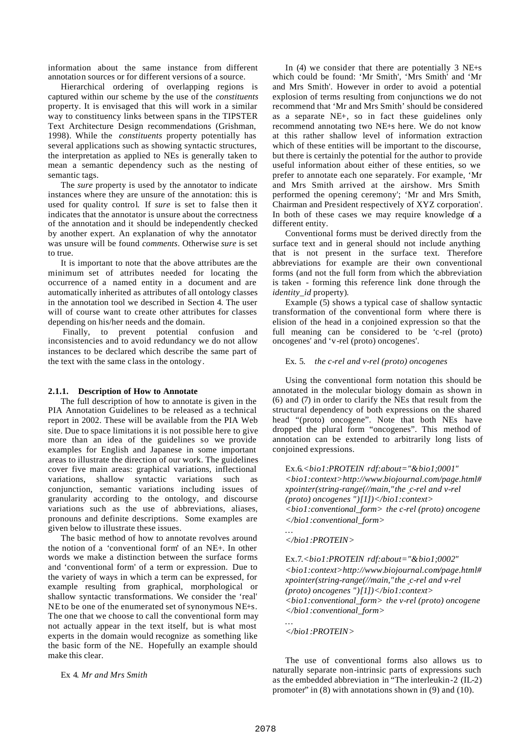information about the same instance from different annotation sources or for different versions of a source.

Hierarchical ordering of overlapping regions is captured within our scheme by the use of the *constituents* property. It is envisaged that this will work in a similar way to constituency links between spans in the TIPSTER Text Architecture Design recommendations (Grishman, 1998). While the *constituents* property potentially has several applications such as showing syntactic structures, the interpretation as applied to NEs is generally taken to mean a semantic dependency such as the nesting of semantic tags.

The *sure* property is used by the annotator to indicate instances where they are unsure of the annotation: this is used for quality control. If *sure* is set to false then it indicates that the annotator is unsure about the correctness of the annotation and it should be independently checked by another expert. An explanation of why the annotator was unsure will be found *comments*. Otherwise *sure* is set to true.

It is important to note that the above attributes are the minimum set of attributes needed for locating the occurrence of a named entity in a document and are automatically inherited as attributes of all ontology classes in the annotation tool we described in Section 4. The user will of course want to create other attributes for classes depending on his/her needs and the domain.

Finally, to prevent potential confusion and inconsistencies and to avoid redundancy we do not allow instances to be declared which describe the same part of the text with the same class in the ontology.

#### **2.1.1. Description of How to Annotate**

The full description of how to annotate is given in the PIA Annotation Guidelines to be released as a technical report in 2002. These will be available from the PIA Web site. Due to space limitations it is not possible here to give more than an idea of the guidelines so we provide examples for English and Japanese in some important areas to illustrate the direction of our work. The guidelines cover five main areas: graphical variations, inflectional variations, shallow syntactic variations such as conjunction, semantic variations including issues of granularity according to the ontology, and discourse variations such as the use of abbreviations, aliases, pronouns and definite descriptions. Some examples are given below to illustrate these issues.

The basic method of how to annotate revolves around the notion of a 'conventional form' of an NE+. In other words we make a distinction between the surface forms and 'conventional form' of a term or expression. Due to the variety of ways in which a term can be expressed, for example resulting from graphical, morphological or shallow syntactic transformations. We consider the 'real' NE to be one of the enumerated set of synonymous NE+s. The one that we choose to call the conventional form may not actually appear in the text itself, but is what most experts in the domain would recognize as something like the basic form of the NE. Hopefully an example should make this clear.

#### Ex 4. *Mr and Mrs Smith*

In (4) we consider that there are potentially 3 NE+s which could be found: 'Mr Smith', 'Mrs Smith' and 'Mr and Mrs Smith'. However in order to avoid a potential explosion of terms resulting from conjunctions we do not recommend that 'Mr and Mrs Smith' should be considered as a separate NE+, so in fact these guidelines only recommend annotating two NE+s here. We do not know at this rather shallow level of information extraction which of these entities will be important to the discourse. but there is certainly the potential for the author to provide useful information about either of these entities, so we prefer to annotate each one separately. For example, 'Mr and Mrs Smith arrived at the airshow. Mrs Smith performed the opening ceremony'; 'Mr and Mrs Smith, Chairman and President respectively of XYZ corporation'. In both of these cases we may require knowledge of a different entity.

Conventional forms must be derived directly from the surface text and in general should not include anything that is not present in the surface text. Therefore abbreviations for example are their own conventional forms (and not the full form from which the abbreviation is taken - forming this reference link done through the *identity\_id* property).

Example (5) shows a typical case of shallow syntactic transformation of the conventional form where there is elision of the head in a conjoined expression so that the full meaning can be considered to be 'c-rel (proto) oncogenes' and 'v-rel (proto) oncogenes'.

#### Ex. 5. *the c-rel and v-rel (proto) oncogenes*

Using the conventional form notation this should be annotated in the molecular biology domain as shown in (6) and (7) in order to clarify the NEs that result from the structural dependency of both expressions on the shared head "(proto) oncogene". Note that both NEs have dropped the plural form "oncogenes". This method of annotation can be extended to arbitrarily long lists of conjoined expressions.

Ex.6*.<bio1:PROTEIN rdf:about="&bio1;0001" <bio1:context>http://www.biojournal.com/page.html# xpointer(string-range(//main,"the c-rel and v-rel (proto) oncogenes ")[1])</bio1:context> <bio1:conventional\_form> the c-rel (proto) oncogene </bio1:conventional\_form>*

#### *</bio1:PROTEIN>*

*…*

*…*

Ex.7*.<bio1:PROTEIN rdf:about="&bio1;0002" <bio1:context>http://www.biojournal.com/page.html# xpointer(string-range(//main,"the c-rel and v-rel (proto) oncogenes ")[1])</bio1:context> <bio1:conventional\_form> the v-rel (proto) oncogene </bio1:conventional\_form>*

*</bio1:PROTEIN>*

The use of conventional forms also allows us to naturally separate non-intrinsic parts of expressions such as the embedded abbreviation in "The interleukin-2 (IL-2) promoter" in  $(8)$  with annotations shown in  $(9)$  and  $(10)$ .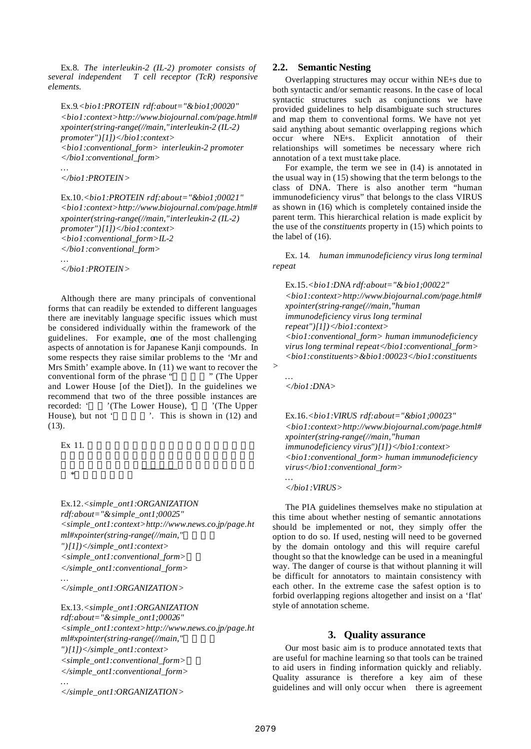Ex.8. *The interleukin-2 (IL-2) promoter consists of several independent T cell receptor (TcR) responsive elements.*

Ex.9*.<bio1:PROTEIN rdf:about="&bio1;00020" <bio1:context>http://www.biojournal.com/page.html# xpointer(string-range(//main,"interleukin-2 (IL-2) promoter")[1])</bio1:context> <bio1:conventional\_form> interleukin-2 promoter </bio1:conventional\_form>*

*</bio1:PROTEIN>*

*…*

Ex.10*.<bio1:PROTEIN rdf:about="&bio1;00021" <bio1:context>http://www.biojournal.com/page.html# xpointer(string-range(//main,"interleukin-2 (IL-2) promoter")[1])</bio1:context> <bio1:conventional\_form>IL-2 </bio1:conventional\_form> …*

*</bio1:PROTEIN>*

Although there are many principals of conventional forms that can readily be extended to different languages there are inevitably language specific issues which must be considered individually within the framework of the guidelines. For example, one of the most challenging aspects of annotation is for Japanese Kanji compounds. In some respects they raise similar problems to the 'Mr and Mrs Smith' example above. In (11) we want to recover the conventional form of the phrase " " (The Upper conventional form of the phrase " and Lower House [of the Diet]). In the guidelines we recommend that two of the three possible instances are recorded: ' '(The Lower House), ' '(The Upper House), but not ' $\therefore$  This is shown in (12) and (13).

Ex 11.

\*

Ex.12*.<simple\_ont1:ORGANIZATION rdf:about="&simple\_ont1;00025" <simple\_ont1:context>http://www.news.co.jp/page.ht ml#xpointer(string-range(//main," ")[1])</simple\_ont1:context> <simple\_ont1:conventional\_form>*衆参 *</simple\_ont1:conventional\_form> …*

*</simple\_ont1:ORGANIZATION>*

Ex.13*.<simple\_ont1:ORGANIZATION rdf:about="&simple\_ont1;00026" <simple\_ont1:context>http://www.news.co.jp/page.ht ml#xpointer(string-range(//main," ")[1])</simple\_ont1:context> <simple\_ont1:conventional\_form>*参院 *</simple\_ont1:conventional\_form> …*

*</simple\_ont1:ORGANIZATION>*

#### **2.2. Semantic Nesting**

Overlapping structures may occur within NE+s due to both syntactic and/or semantic reasons. In the case of local syntactic structures such as conjunctions we have provided guidelines to help disambiguate such structures and map them to conventional forms. We have not yet said anything about semantic overlapping regions which occur where NE+s. Explicit annotation of their relationships will sometimes be necessary where rich annotation of a text must take place.

For example, the term we see in (14) is annotated in the usual way in (15) showing that the term belongs to the class of DNA. There is also another term "human immunodeficiency virus" that belongs to the class VIRUS as shown in (16) which is completely contained inside the parent term. This hierarchical relation is made explicit by the use of the *constituents* property in (15) which points to the label of (16).

Ex. 14. *human immunodeficiency virus long terminal repeat*

Ex.15*.<bio1:DNA rdf:about="&bio1;00022" <bio1:context>http://www.biojournal.com/page.html# xpointer(string-range(//main,"human immunodeficiency virus long terminal repeat")[1])</bio1:context> <bio1:conventional\_form> human immunodeficiency virus long terminal repeat</bio1:conventional\_form> <bio1:constituents>&bio1:00023</bio1:constituents*

*> …*

*…*

*</bio1:DNA>*

Ex.16*.<bio1:VIRUS rdf:about="&bio1;00023" <bio1:context>http://www.biojournal.com/page.html# xpointer(string-range(//main,"human immunodeficiency virus")[1])</bio1:context> <bio1:conventional\_form> human immunodeficiency virus</bio1:conventional\_form>*

*</bio1:VIRUS>*

The PIA guidelines themselves make no stipulation at this time about whether nesting of semantic annotations should be implemented or not, they simply offer the option to do so. If used, nesting will need to be governed by the domain ontology and this will require careful thought so that the knowledge can be used in a meaningful way. The danger of course is that without planning it will be difficult for annotators to maintain consistency with each other. In the extreme case the safest option is to forbid overlapping regions altogether and insist on a 'flat' style of annotation scheme.

## **3. Quality assurance**

Our most basic aim is to produce annotated texts that are useful for machine learning so that tools can be trained to aid users in finding information quickly and reliably. Quality assurance is therefore a key aim of these guidelines and will only occur when there is agreement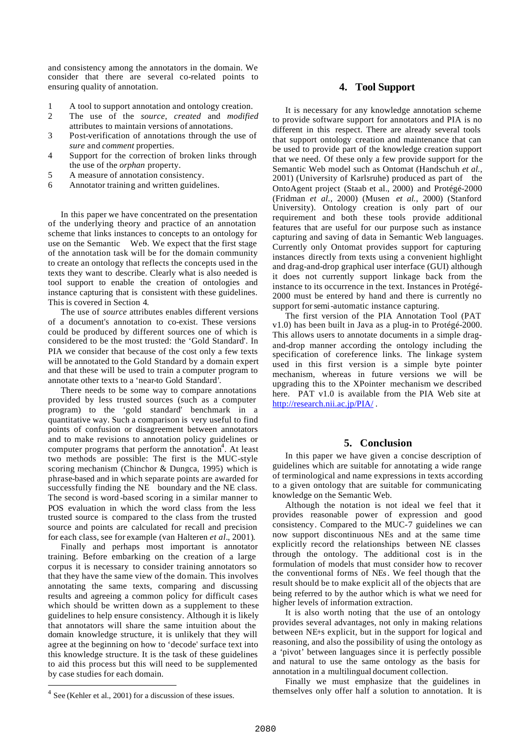and consistency among the annotators in the domain. We consider that there are several co-related points to ensuring quality of annotation.

- 1 A tool to support annotation and ontology creation.
- 2 The use of the *source, created* and *modified* attributes to maintain versions of annotations.
- 3 Post-verification of annotations through the use of *sure* and *comment* properties.
- 4 Support for the correction of broken links through the use of the *orphan* property.
- 5 A measure of annotation consistency.
- 6 Annotator training and written guidelines.

In this paper we have concentrated on the presentation of the underlying theory and practice of an annotation scheme that links instances to concepts to an ontology for use on the Semantic Web. We expect that the first stage of the annotation task will be for the domain community to create an ontology that reflects the concepts used in the texts they want to describe. Clearly what is also needed is tool support to enable the creation of ontologies and instance capturing that is consistent with these guidelines. This is covered in Section 4.

The use of *source* attributes enables different versions of a document's annotation to co-exist. These versions could be produced by different sources one of which is considered to be the most trusted: the 'Gold Standard'. In PIA we consider that because of the cost only a few texts will be annotated to the Gold Standard by a domain expert and that these will be used to train a computer program to annotate other texts to a 'near-to Gold Standard'.

There needs to be some way to compare annotations provided by less trusted sources (such as a computer program) to the 'gold standard' benchmark in a quantitative way. Such a comparison is very useful to find points of confusion or disagreement between annotators and to make revisions to annotation policy guidelines or computer programs that perform the annotation<sup>4</sup>. At least two methods are possible: The first is the MUC-style scoring mechanism (Chinchor & Dungca, 1995) which is phrase-based and in which separate points are awarded for successfully finding the NE boundary and the NE class. The second is word -based scoring in a similar manner to POS evaluation in which the word class from the less trusted source is compared to the class from the trusted source and points are calculated for recall and precision for each class, see for example (van Halteren *et al.*, 2001).

Finally and perhaps most important is annotator training. Before embarking on the creation of a large corpus it is necessary to consider training annotators so that they have the same view of the domain. This involves annotating the same texts, comparing and discussing results and agreeing a common policy for difficult cases which should be written down as a supplement to these guidelines to help ensure consistency. Although it is likely that annotators will share the same intuition about the domain knowledge structure, it is unlikely that they will agree at the beginning on how to 'decode' surface text into this knowledge structure. It is the task of these guidelines to aid this process but this will need to be supplemented by case studies for each domain.

 $\overline{\phantom{a}}$ 

#### **4. Tool Support**

It is necessary for any knowledge annotation scheme to provide software support for annotators and PIA is no different in this respect. There are already several tools that support ontology creation and maintenance that can be used to provide part of the knowledge creation support that we need. Of these only a few provide support for the Semantic Web model such as Ontomat (Handschuh *et al.,* 2001) (University of Karlsruhe) produced as part of the OntoAgent project (Staab et al., 2000) and Protégé-2000 (Fridman *et al.,* 2000) (Musen *et al.,* 2000) (Stanford University). Ontology creation is only part of our requirement and both these tools provide additional features that are useful for our purpose such as instance capturing and saving of data in Semantic Web languages. Currently only Ontomat provides support for capturing instances directly from texts using a convenient highlight and drag-and-drop graphical user interface (GUI) although it does not currently support linkage back from the instance to its occurrence in the text. Instances in Protégé-2000 must be entered by hand and there is currently no support for semi-automatic instance capturing.

The first version of the PIA Annotation Tool (PAT v1.0) has been built in Java as a plug-in to Protégé-2000. This allows users to annotate documents in a simple dragand-drop manner according the ontology including the specification of coreference links. The linkage system used in this first version is a simple byte pointer mechanism, whereas in future versions we will be upgrading this to the XPointer mechanism we described here. PAT v1.0 is available from the PIA Web site at http://research.nii.ac.jp/PIA/.

## **5. Conclusion**

In this paper we have given a concise description of guidelines which are suitable for annotating a wide range of terminological and name expressions in texts according to a given ontology that are suitable for communicating knowledge on the Semantic Web.

Although the notation is not ideal we feel that it provides reasonable power of expression and good consistency. Compared to the MUC-7 guidelines we can now support discontinuous NEs and at the same time explicitly record the relationships between NE classes through the ontology. The additional cost is in the formulation of models that must consider how to recover the conventional forms of NEs. We feel though that the result should be to make explicit all of the objects that are being referred to by the author which is what we need for higher levels of information extraction.

It is also worth noting that the use of an ontology provides several advantages, not only in making relations between NE+s explicit, but in the support for logical and reasoning, and also the possibility of using the ontology as a 'pivot' between languages since it is perfectly possible and natural to use the same ontology as the basis for annotation in a multilingual document collection.

Finally we must emphasize that the guidelines in themselves only offer half a solution to annotation. It is

 $4$  See (Kehler et al., 2001) for a discussion of these issues.